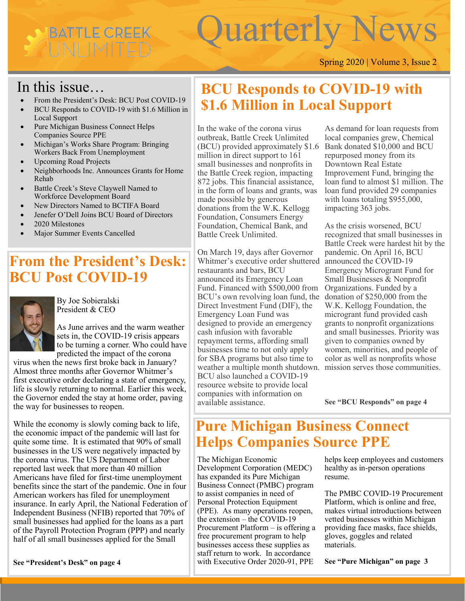# BATTLE CREEK CUNLIMIT

# Quarterly New

Spring 2020 | Volume 3, Issue 2

## In this issue…

- From the President's Desk: BCU Post COVID-19
- BCU Responds to COVID-19 with \$1.6 Million in Local Support
- Pure Michigan Business Connect Helps Companies Source PPE
- Michigan's Works Share Program: Bringing Workers Back From Unemployment
- Upcoming Road Projects
- Neighborhoods Inc. Announces Grants for Home Rehab
- Battle Creek's Steve Claywell Named to Workforce Development Board
- New Directors Named to BCTIFA Board
- Jenefer O'Dell Joins BCU Board of Directors
- 2020 Milestones
- Major Summer Events Cancelled

## **From the President's Desk: BCU Post COVID-19**



By Joe Sobieralski President & CEO

As June arrives and the warm weather sets in, the COVID-19 crisis appears to be turning a corner. Who could have predicted the impact of the corona

virus when the news first broke back in January? Almost three months after Governor Whitmer's first executive order declaring a state of emergency, life is slowly returning to normal. Earlier this week, the Governor ended the stay at home order, paving the way for businesses to reopen.

While the economy is slowly coming back to life, the economic impact of the pandemic will last for quite some time. It is estimated that 90% of small businesses in the US were negatively impacted by the corona virus. The US Department of Labor reported last week that more than 40 million Americans have filed for first-time unemployment benefits since the start of the pandemic. One in four American workers has filed for unemployment insurance. In early April, the National Federation of Independent Business (NFIB) reported that 70% of small businesses had applied for the loans as a part of the Payroll Protection Program (PPP) and nearly half of all small businesses applied for the Small

#### **See "President's Desk" on page 4**

## **BCU Responds to COVID-19 with \$1.6 Million in Local Support**

In the wake of the corona virus outbreak, Battle Creek Unlimited (BCU) provided approximately \$1.6 million in direct support to 161 small businesses and nonprofits in the Battle Creek region, impacting 872 jobs. This financial assistance, in the form of loans and grants, was made possible by generous donations from the W.K. Kellogg Foundation, Consumers Energy Foundation, Chemical Bank, and Battle Creek Unlimited.

On March 19, days after Governor Whitmer's executive order shuttered restaurants and bars, BCU announced its Emergency Loan Fund. Financed with \$500,000 from BCU's own revolving loan fund, the Direct Investment Fund (DIF), the Emergency Loan Fund was designed to provide an emergency cash infusion with favorable repayment terms, affording small businesses time to not only apply for SBA programs but also time to weather a multiple month shutdown. BCU also launched a COVID-19 resource website to provide local companies with information on available assistance.

local companies grew, Chemical As demand for loan requests from Bank donated \$10,000 and BCU repurposed money from its Downtown Real Estate Improvement Fund, bringing the loan fund to almost \$1 million. The loan fund provided 29 companies with loans totaling \$955,000, impacting 363 jobs.

As the crisis worsened, BCU recognized that small businesses in Battle Creek were hardest hit by the pandemic. On April 16, BCU announced the COVID-19 Emergency Microgrant Fund for Small Businesses & Nonprofit Organizations. Funded by a donation of \$250,000 from the W.K. Kellogg Foundation, the microgrant fund provided cash grants to nonprofit organizations and small businesses. Priority was given to companies owned by women, minorities, and people of color as well as nonprofits whose mission serves those communities.

**See "BCU Responds" on page 4** 

## **Pure Michigan Business Connect Helps Companies Source PPE**

The Michigan Economic Development Corporation (MEDC) has expanded its Pure Michigan Business Connect (PMBC) program to assist companies in need of Personal Protection Equipment (PPE). As many operations reopen, the extension – the COVID-19 Procurement Platform – is offering a free procurement program to help businesses access these supplies as staff return to work. In accordance with Executive Order 2020-91, PPE

helps keep employees and customers healthy as in-person operations resume.

The PMBC COVID-19 Procurement Platform, which is online and free, makes virtual introductions between vetted businesses within Michigan providing face masks, face shields, gloves, goggles and related materials.

**See "Pure Michigan" on page 3**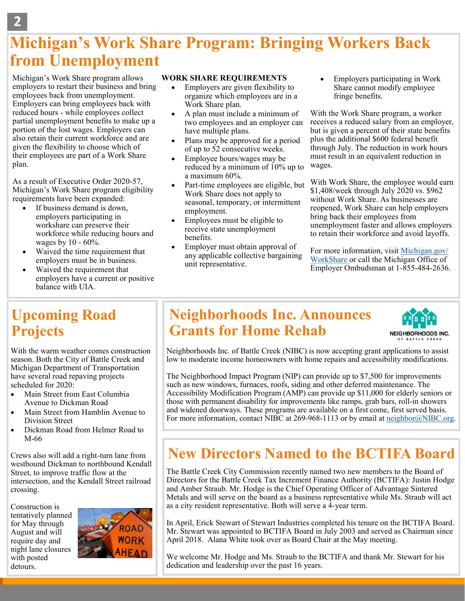## **Michigan's Work Share Program: Bringing Workers Back from Unemployment**

Michigan's Work Share program allows employers to restart their business and bring employees back from unemployment. Employers can bring employees back with reduced hours - while employees collect partial unemployment benefits to make up a portion of the lost wages. Employers can also retain their current workforce and are given the flexibility to choose which of their employees are part of a Work Share plan.

As a result of Executive Order 2020-57, Michigan's Work Share program eligibility requirements have been expanded:

- If business demand is down, employers participating in workshare can preserve their workforce while reducing hours and wages by 10 - 60%.
- Waived the time requirement that employers must be in business.
- Waived the requirement that employers have a current or positive balance with UIA.

#### **WORK SHARE REQUIREMENTS**

- Employers are given flexibility to organize which employees are in a Work Share plan.
- A plan must include a minimum of two employees and an employer can have multiple plans.
- Plans may be approved for a period of up to 52 consecutive weeks.
- Employee hours/wages may be reduced by a minimum of 10% up to a maximum 60%.
- Part-time employees are eligible, but Work Share does not apply to seasonal, temporary, or intermittent employment.
- Employees must be eligible to receive state unemployment benefits.
- Employer must obtain approval of any applicable collective bargaining unit representative.

• Employers participating in Work Share cannot modify employee fringe benefits.

plus the additional \$600 federal benefit With the Work Share program, a worker receives a reduced salary from an employer, but is given a percent of their state benefits through July. The reduction in work hours must result in an equivalent reduction in wages.

With Work Share, the employee would earn \$1,408/week through July 2020 vs. \$962 without Work Share. As businesses are reopened, Work Share can help employers bring back their employees from unemployment faster and allows employers to retain their workforce and avoid layoffs.

For more information, visit [Michigan.gov/](https://www.michigan.gov/leo/0,5863,7-336-78421_97241_89981_90231_90233_99653---,00.html) [WorkShare or](https://www.michigan.gov/leo/0,5863,7-336-78421_97241_89981_90231_90233_99653---,00.html) call the Michigan Office of Employer Ombudsman at 1-855-484-2636.

#### **Upcoming Road Projects**

With the warm weather comes construction season. Both the City of Battle Creek and Michigan Department of Transportation have several road repaving projects scheduled for 2020:

- Main Street from East Columbia Avenue to Dickman Road
- Main Street from Hamblin Avenue to Division Street
- Dickman Road from Helmer Road to M-66

Crews also will add a right-turn lane from westbound Dickman to northbound Kendall Street, to improve traffic flow at the intersection, and the Kendall Street railroad crossing.

Construction is tentatively planned for May through August and will require day and night lane closures with posted detours.



## **Neighborhoods Inc. Announces Grants for Home Rehab**



Neighborhoods Inc. of Battle Creek (NIBC) is now accepting grant applications to assist low to moderate income homeowners with home repairs and accessibility modifications.

The Neighborhood Impact Program (NIP) can provide up to \$7,500 for improvements such as new windows, furnaces, roofs, siding and other deferred maintenance. The Accessibility Modification Program (AMP) can provide up \$11,000 for elderly seniors or those with permanent disability for improvements like ramps, grab bars, roll-in showers and widened doorways. These programs are available on a first come, first served basis. For more information, contact NIBC at 269-968-1113 or by email at [neighbor@NIBC.org.](mailto:neighbor@NIBC.org) 

## **New Directors Named to the BCTIFA Board**

The Battle Creek City Commission recently named two new members to the Board of Directors for the Battle Creek Tax Increment Finance Authority (BCTIFA): Justin Hodge and Amber Straub. Mr. Hodge is the Chief Operating Officer of Advantage Sintered Metals and will serve on the board as a business representative while Ms. Straub will act as a city resident representative. Both will serve a 4-year term.

In April, Erick Stewart of Stewart Industries completed his tenure on the BCTIFA Board. Mr. Stewart was appointed to BCTIFA Board in July 2003 and served as Chairman since April 2018. Alana White took over as Board Chair at the May meeting.

We welcome Mr. Hodge and Ms. Straub to the BCTIFA and thank Mr. Stewart for his dedication and leadership over the past 16 years.

**2**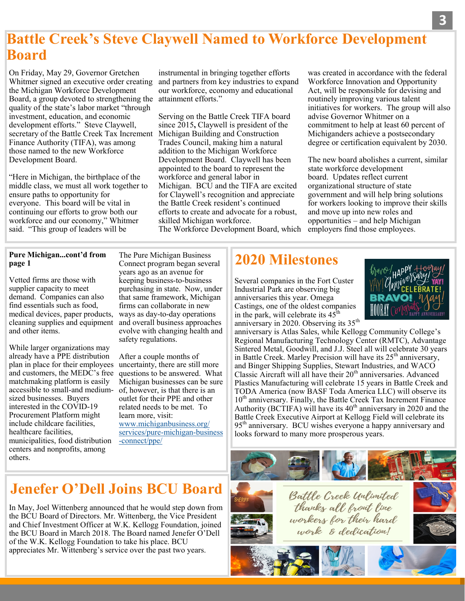#### **Battle Creek's Steve Claywell Named to Workforce Development Board**

On Friday, May 29, Governor Gretchen Whitmer signed an executive order creating the Michigan Workforce Development Board, a group devoted to strengthening the attainment efforts." quality of the state's labor market "through investment, education, and economic development efforts." Steve Claywell, secretary of the Battle Creek Tax Increment Finance Authority (TIFA), was among those named to the new Workforce Development Board.

"Here in Michigan, the birthplace of the middle class, we must all work together to ensure paths to opportunity for everyone. This board will be vital in continuing our efforts to grow both our workforce and our economy," Whitmer said. "This group of leaders will be

instrumental in bringing together efforts and partners from key industries to expand our workforce, economy and educational

Serving on the Battle Creek TIFA board since 2015**,** Claywell is president of the Michigan Building and Construction Trades Council, making him a natural addition to the Michigan Workforce Development Board. Claywell has been appointed to the board to represent the workforce and general labor in Michigan. BCU and the TIFA are excited for Claywell's recognition and appreciate the Battle Creek resident's continued efforts to create and advocate for a robust, skilled Michigan workforce.

The Workforce Development Board, which

was created in accordance with the federal Workforce Innovation and Opportunity Act, will be responsible for devising and routinely improving various talent initiatives for workers. The group will also advise Governor Whitmer on a commitment to help at least 60 percent of Michiganders achieve a postsecondary degree or certification equivalent by 2030.

The new board abolishes a current, similar state workforce development board. Updates reflect current organizational structure of state government and will help bring solutions for workers looking to improve their skills and move up into new roles and opportunities – and help Michigan employers find those employees.

#### **Pure Michigan...cont'd from page 1**

Vetted firms are those with supplier capacity to meet demand. Companies can also find essentials such as food, medical devices, paper products, cleaning supplies and equipment and other items.

While larger organizations may already have a PPE distribution plan in place for their employees and customers, the MEDC's free matchmaking platform is easily accessible to small-and mediumsized businesses. Buyers interested in the COVID-19 Procurement Platform might include childcare facilities, healthcare facilities, municipalities, food distribution centers and nonprofits, among others.

The Pure Michigan Business Connect program began several years ago as an avenue for keeping business-to-business purchasing in state. Now, under that same framework, Michigan firms can collaborate in new ways as day-to-day operations and overall business approaches evolve with changing health and safety regulations.

After a couple months of uncertainty, there are still more questions to be answered. What Michigan businesses can be sure of, however, is that there is an outlet for their PPE and other related needs to be met. To learn more, visit: [www.michiganbusiness.org/](https://www.michiganbusiness.org/services/pure-michigan-business-connect/ppe/) [services/pure](https://www.michiganbusiness.org/services/pure-michigan-business-connect/ppe/)-michigan-business -[connect/ppe/](https://www.michiganbusiness.org/services/pure-michigan-business-connect/ppe/)

## **2020 Milestones**

Several companies in the Fort Custer Industrial Park are observing big anniversaries this year. Omega Castings, one of the oldest companies in the park, will celebrate its  $45<sup>th</sup>$ anniversary in 2020. Observing its 35<sup>th</sup>



anniversary is Atlas Sales, while Kellogg Community College's Regional Manufacturing Technology Center (RMTC), Advantage Sintered Metal, Goodwill, and J.J. Steel all will celebrate 30 years in Battle Creek. Marley Precision will have its  $25<sup>th</sup>$  anniversary, and Binger Shipping Supplies, Stewart Industries, and WACO Classic Aircraft will all have their  $20<sup>th</sup>$  anniversaries. Advanced Plastics Manufacturing will celebrate 15 years in Battle Creek and TODA America (now BASF Toda America LLC) will observe its  $10<sup>th</sup>$  anniversary. Finally, the Battle Creek Tax Increment Finance Authority (BCTIFA) will have its 40<sup>th</sup> anniversary in 2020 and the Battle Creek Executive Airport at Kellogg Field will celebrate its 95<sup>th</sup> anniversary. BCU wishes everyone a happy anniversary and looks forward to many more prosperous years.



## **Jenefer O'Dell Joins BCU Board**

In May, Joel Wittenberg announced that he would step down from the BCU Board of Directors. Mr. Wittenberg, the Vice President and Chief Investment Officer at W.K. Kellogg Foundation, joined the BCU Board in March 2018. The Board named Jenefer O'Dell of the W.K. Kellogg Foundation to take his place. BCU appreciates Mr. Wittenberg's service over the past two years.